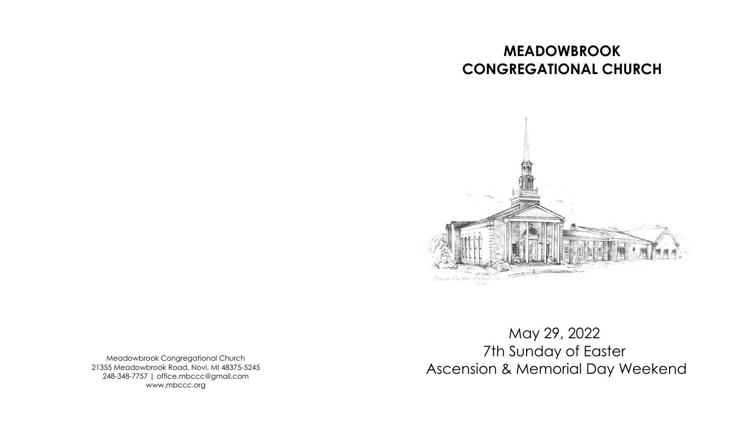## **MEADOWBROOK CONGREGATIONAL CHURCH**



Meadowbrook Congregational Church 21355 Meadowbrook Road, Novi, MI 48375-5245 248-348-7757 | office.mbccc@gmail.com www.mbccc.org

May 29, 2022 7th Sunday of Easter Ascension & Memorial Day Weekend